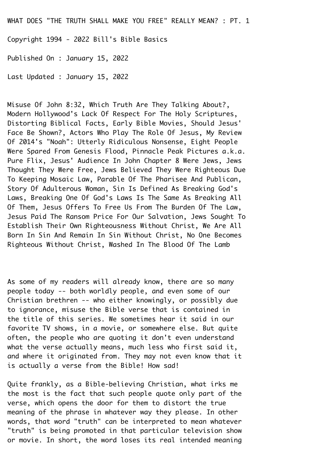WHAT DOES "THE TRUTH SHALL MAKE YOU FREE" REALLY MEAN? : PT. 1

Copyright 1994 - 2022 Bill's Bible Basics¬

Published On : January 15, 2022¬

Last Updated : January 15, 2022¬

Misuse Of John 8:32, Which Truth Are They Talking About?, Modern Hollywood's Lack Of Respect For The Holy Scriptures, Distorting Biblical Facts, Early Bible Movies, Should Jesus'¬ Face Be Shown?, Actors Who Play The Role Of Jesus, My Review¬ Of 2014's "Noah": Utterly Ridiculous Nonsense, Eight People¬ Were Spared From Genesis Flood, Pinnacle Peak Pictures a.k.a. Pure Flix, Jesus' Audience In John Chapter 8 Were Jews, Jews¬ Thought They Were Free, Jews Believed They Were Righteous Due¬ To Keeping Mosaic Law, Parable Of The Pharisee And Publican,¬ Story Of Adulterous Woman, Sin Is Defined As Breaking God's¬ Laws, Breaking One Of God's Laws Is The Same As Breaking All¬ Of Them, Jesus Offers To Free Us From The Burden Of The Law,¬ Jesus Paid The Ransom Price For Our Salvation, Jews Sought To¬ Establish Their Own Righteousness Without Christ, We Are All¬ Born In Sin And Remain In Sin Without Christ, No One Becomes¬ Righteous Without Christ, Washed In The Blood Of The Lamb¬

As some of my readers will already know, there are so many people today -- both worldly people, and even some of our¬ Christian brethren -- who either knowingly, or possibly due to ignorance, misuse the Bible verse that is contained in the title of this series. We sometimes hear it said in our favorite TV shows, in a movie, or somewhere else. But quite often, the people who are quoting it don't even understand what the verse actually means, much less who first said it, and where it originated from. They may not even know that it is actually a verse from the Bible! How sad!

Quite frankly, as a Bible-believing Christian, what irks me the most is the fact that such people quote only part of the verse, which opens the door for them to distort the true meaning of the phrase in whatever way they please. In other words, that word "truth" can be interpreted to mean whatever¬ "truth" is being promoted in that particular television show or movie. In short, the word loses its real intended meaning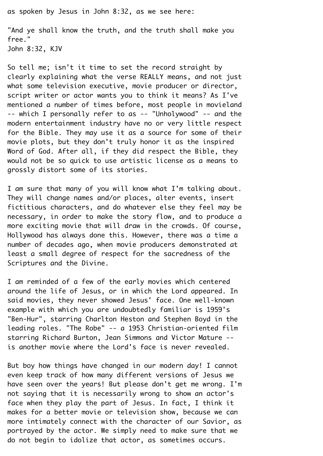as spoken by Jesus in John 8:32, as we see here:

"And ye shall know the truth, and the truth shall make you free."

John 8:32, KJV¬

So tell me; isn't it time to set the record straight by clearly explaining what the verse REALLY means, and not just what some television executive, movie producer or director, script writer or actor wants you to think it means? As I've mentioned a number of times before, most people in movieland¬ -- which I personally refer to as -- "Unholywood" -- and the modern entertainment industry have no or very little respect for the Bible. They may use it as a source for some of their movie plots, but they don't truly honor it as the inspired¬ Word of God. After all, if they did respect the Bible, they would not be so quick to use artistic license as a means to grossly distort some of its stories.¬

I am sure that many of you will know what I'm talking about. They will change names and/or places, alter events, insert fictitious characters, and do whatever else they feel may be necessary, in order to make the story flow, and to produce a more exciting movie that will draw in the crowds. Of course, Hollywood has always done this. However, there was a time a number of decades ago, when movie producers demonstrated at least a small degree of respect for the sacredness of the¬ Scriptures and the Divine.

I am reminded of a few of the early movies which centered around the life of Jesus, or in which the Lord appeared. In said movies, they never showed Jesus' face. One well-known example with which you are undoubtedly familiar is 1959's "Ben-Hur", starring Charlton Heston and Stephen Boyd in the leading roles. "The Robe" -- a 1953 Christian-oriented film starring Richard Burton, Jean Simmons and Victor Mature -is another movie where the Lord's face is never revealed.

But boy how things have changed in our modern day! I cannot even keep track of how many different versions of Jesus we have seen over the years! But please don't get me wrong. I'm not saying that it is necessarily wrong to show an actor's face when they play the part of Jesus. In fact, I think it makes for a better movie or television show, because we can more intimately connect with the character of our Savior, as portrayed by the actor. We simply need to make sure that we do not begin to idolize that actor, as sometimes occurs.¬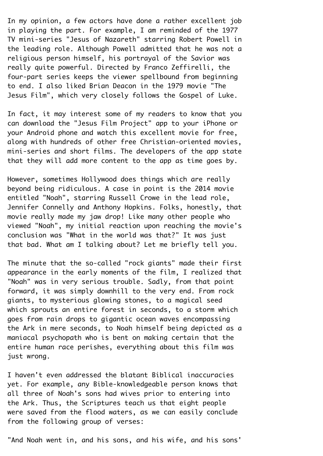In my opinion, a few actors have done a rather excellent job in playing the part. For example, I am reminded of the 1977 TV mini-series "Jesus of Nazareth" starring Robert Powell in the leading role. Although Powell admitted that he was not a religious person himself, his portrayal of the Savior was really quite powerful. Directed by Franco Zeffirelli, the four-part series keeps the viewer spellbound from beginning to end. I also liked Brian Deacon in the 1979 movie "The¬ Jesus Film", which very closely follows the Gospel of Luke.¬

In fact, it may interest some of my readers to know that you can download the "Jesus Film Project" app to your iPhone or your Android phone and watch this excellent movie for free, along with hundreds of other free Christian-oriented movies, mini-series and short films. The developers of the app state that they will add more content to the app as time goes by.¬

However, sometimes Hollywood does things which are really beyond being ridiculous. A case in point is the 2014 movie entitled "Noah", starring Russell Crowe in the lead role,¬ Jennifer Connelly and Anthony Hopkins. Folks, honestly, that movie really made my jaw drop! Like many other people who viewed "Noah", my initial reaction upon reaching the movie's conclusion was "What in the world was that?" It was just that bad. What am I talking about? Let me briefly tell you.¬

The minute that the so-called "rock giants" made their first appearance in the early moments of the film, I realized that¬ "Noah" was in very serious trouble. Sadly, from that point forward, it was simply downhill to the very end. From rock giants, to mysterious glowing stones, to a magical seed which sprouts an entire forest in seconds, to a storm which goes from rain drops to gigantic ocean waves encompassing the Ark in mere seconds, to Noah himself being depicted as a maniacal psychopath who is bent on making certain that the entire human race perishes, everything about this film was just wrong.

I haven't even addressed the blatant Biblical inaccuracies yet. For example, any Bible-knowledgeable person knows that all three of Noah's sons had wives prior to entering into the Ark. Thus, the Scriptures teach us that eight people were saved from the flood waters, as we can easily conclude from the following group of verses:

"And Noah went in, and his sons, and his wife, and his sons'¬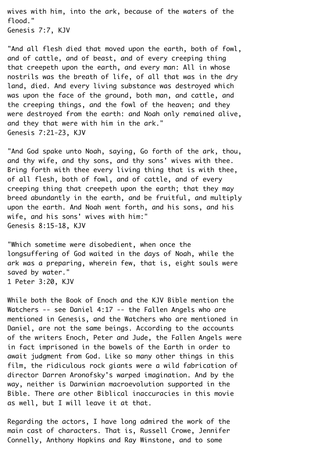wives with him, into the ark, because of the waters of the flood."¬ Genesis 7:7, KJV¬

"And all flesh died that moved upon the earth, both of fowl, and of cattle, and of beast, and of every creeping thing that creepeth upon the earth, and every man: All in whose nostrils was the breath of life, of all that was in the dry land, died. And every living substance was destroyed which was upon the face of the ground, both man, and cattle, and the creeping things, and the fowl of the heaven; and they were destroyed from the earth: and Noah only remained alive, and they that were with him in the ark." Genesis 7:21-23, KJV¬

"And God spake unto Noah, saying, Go forth of the ark, thou, and thy wife, and thy sons, and thy sons' wives with thee. Bring forth with thee every living thing that is with thee, of all flesh, both of fowl, and of cattle, and of every creeping thing that creepeth upon the earth; that they may breed abundantly in the earth, and be fruitful, and multiply upon the earth. And Noah went forth, and his sons, and his wife, and his sons' wives with him:" Genesis 8:15-18, KJV¬

"Which sometime were disobedient, when once the longsuffering of God waited in the days of Noah, while the ark was a preparing, wherein few, that is, eight souls were saved by water." 1 Peter 3:20, KJV¬

While both the Book of Enoch and the KJV Bible mention the Watchers -- see Daniel 4:17 -- the Fallen Angels who are mentioned in Genesis, and the Watchers who are mentioned in¬ Daniel, are not the same beings. According to the accounts of the writers Enoch, Peter and Jude, the Fallen Angels were in fact imprisoned in the bowels of the Earth in order to await judgment from God. Like so many other things in this film, the ridiculous rock giants were a wild fabrication of director Darren Aronofsky's warped imagination. And by the way, neither is Darwinian macroevolution supported in the¬ Bible. There are other Biblical inaccuracies in this movie as well, but I will leave it at that.

Regarding the actors, I have long admired the work of the main cast of characters. That is, Russell Crowe, Jennifer¬ Connelly, Anthony Hopkins and Ray Winstone, and to some¬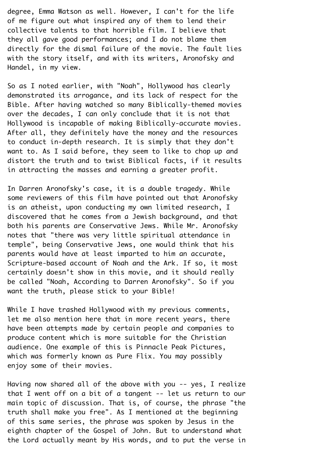degree, Emma Watson as well. However, I can't for the life of me figure out what inspired any of them to lend their collective talents to that horrible film. I believe that they all gave good performances; and I do not blame them directly for the dismal failure of the movie. The fault lies with the story itself, and with its writers, Aronofsky and Handel, in my view.¬

So as I noted earlier, with "Noah", Hollywood has clearly demonstrated its arrogance, and its lack of respect for the¬ Bible. After having watched so many Biblically-themed movies over the decades, I can only conclude that it is not that Hollywood is incapable of making Biblically-accurate movies.¬ After all, they definitely have the money and the resources to conduct in-depth research. It is simply that they don't want to. As I said before, they seem to like to chop up and distort the truth and to twist Biblical facts, if it results in attracting the masses and earning a greater profit.

In Darren Aronofsky's case, it is a double tragedy. While some reviewers of this film have pointed out that Aronofsky is an atheist, upon conducting my own limited research, I discovered that he comes from a Jewish background, and that both his parents are Conservative Jews. While Mr. Aronofsky notes that "there was very little spiritual attendance in temple", being Conservative Jews, one would think that his parents would have at least imparted to him an accurate, Scripture-based account of Noah and the Ark. If so, it most certainly doesn't show in this movie, and it should really be called "Noah, According to Darren Aronofsky". So if you want the truth, please stick to your Bible!

While I have trashed Hollywood with my previous comments, let me also mention here that in more recent years, there have been attempts made by certain people and companies to produce content which is more suitable for the Christian audience. One example of this is Pinnacle Peak Pictures, which was formerly known as Pure Flix. You may possibly enjoy some of their movies.¬

Having now shared all of the above with you -- yes, I realize that I went off on a bit of a tangent -- let us return to our main topic of discussion. That is, of course, the phrase "the truth shall make you free". As I mentioned at the beginning of this same series, the phrase was spoken by Jesus in the eighth chapter of the Gospel of John. But to understand what the Lord actually meant by His words, and to put the verse in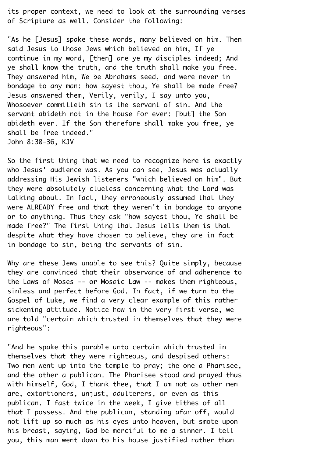its proper context, we need to look at the surrounding verses of Scripture as well. Consider the following:

"As he [Jesus] spake these words, many believed on him. Then said Jesus to those Jews which believed on him, If ye continue in my word, [then] are ye my disciples indeed; And ye shall know the truth, and the truth shall make you free. They answered him, We be Abrahams seed, and were never in bondage to any man: how sayest thou, Ye shall be made free?¬ Jesus answered them, Verily, verily, I say unto you,¬ Whosoever committeth sin is the servant of sin. And the servant abideth not in the house for ever: [but] the Son abideth ever. If the Son therefore shall make you free, ye shall be free indeed."¬ John 8:30-36, KJV¬

So the first thing that we need to recognize here is exactly who Jesus' audience was. As you can see, Jesus was actually addressing His Jewish listeners "which believed on him". But they were absolutely clueless concerning what the Lord was talking about. In fact, they erroneously assumed that they were ALREADY free and that they weren't in bondage to anyone or to anything. Thus they ask "how sayest thou, Ye shall be made free?" The first thing that Jesus tells them is that despite what they have chosen to believe, they are in fact in bondage to sin, being the servants of sin.¬

Why are these Jews unable to see this? Quite simply, because they are convinced that their observance of and adherence to the Laws of Moses -- or Mosaic Law -- makes them righteous, sinless and perfect before God. In fact, if we turn to the Gospel of Luke, we find a very clear example of this rather sickening attitude. Notice how in the very first verse, we are told "certain which trusted in themselves that they were righteous":¬

"And he spake this parable unto certain which trusted in themselves that they were righteous, and despised others:¬ Two men went up into the temple to pray; the one a Pharisee, and the other a publican. The Pharisee stood and prayed thus with himself, God, I thank thee, that I am not as other men are, extortioners, unjust, adulterers, or even as this publican. I fast twice in the week, I give tithes of all that I possess. And the publican, standing afar off, would not lift up so much as his eyes unto heaven, but smote upon his breast, saying, God be merciful to me a sinner. I tell you, this man went down to his house justified rather than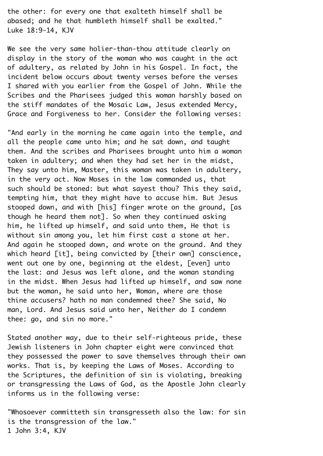the other: for every one that exalteth himself shall be abased; and he that humbleth himself shall be exalted." Luke 18:9-14, KJV¬

We see the very same holier-than-thou attitude clearly on display in the story of the woman who was caught in the act of adultery, as related by John in his Gospel. In fact, the incident below occurs about twenty verses before the verses I shared with you earlier from the Gospel of John. While the¬ Scribes and the Pharisees judged this woman harshly based on the stiff mandates of the Mosaic Law, Jesus extended Mercy,¬ Grace and Forgiveness to her. Consider the following verses:

"And early in the morning he came again into the temple, and all the people came unto him; and he sat down, and taught them. And the scribes and Pharisees brought unto him a woman taken in adultery; and when they had set her in the midst,¬ They say unto him, Master, this woman was taken in adultery, in the very act. Now Moses in the law commanded us, that such should be stoned: but what sayest thou? This they said, tempting him, that they might have to accuse him. But Jesus stooped down, and with [his] finger wrote on the ground, [as though he heard them not]. So when they continued asking him, he lifted up himself, and said unto them, He that is without sin among you, let him first cast a stone at her. And again he stooped down, and wrote on the ground. And they which heard  $\lceil i \cdot \cdot \rceil$ , being convicted by  $\lceil$  their own $\rceil$  conscience, went out one by one, beginning at the eldest, [even] unto the last: and Jesus was left alone, and the woman standing in the midst. When Jesus had lifted up himself, and saw none but the woman, he said unto her, Woman, where are those thine accusers? hath no man condemned thee? She said, No man, Lord. And Jesus said unto her, Neither do I condemn thee: go, and sin no more."¬

Stated another way, due to their self-righteous pride, these Jewish listeners in John chapter eight were convinced that they possessed the power to save themselves through their own works. That is, by keeping the Laws of Moses. According to the Scriptures, the definition of sin is violating, breaking or transgressing the Laws of God, as the Apostle John clearly informs us in the following verse:

"Whosoever committeth sin transgresseth also the law: for sin is the transgression of the law." 1 John 3:4, KJV¬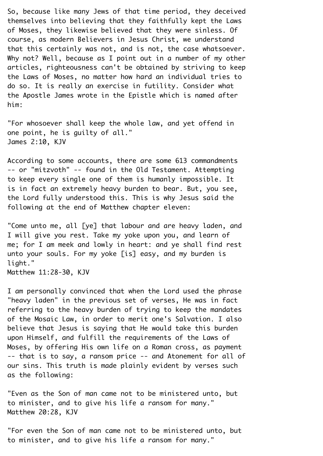So, because like many Jews of that time period, they deceived themselves into believing that they faithfully kept the Laws of Moses, they likewise believed that they were sinless. Of course, as modern Believers in Jesus Christ, we understand that this certainly was not, and is not, the case whatsoever. Why not? Well, because as I point out in a number of my other articles, righteousness can't be obtained by striving to keep the Laws of Moses, no matter how hard an individual tries to do so. It is really an exercise in futility. Consider what the Apostle James wrote in the Epistle which is named after him:

"For whosoever shall keep the whole law, and yet offend in one point, he is guilty of all."¬ James 2:10, KJV¬

According to some accounts, there are some 613 commandments¬ -- or "mitzvoth" -- found in the Old Testament. Attempting to keep every single one of them is humanly impossible. It is in fact an extremely heavy burden to bear. But, you see, the Lord fully understood this. This is why Jesus said the following at the end of Matthew chapter eleven:

"Come unto me, all [ye] that labour and are heavy laden, and¬ I will give you rest. Take my yoke upon you, and learn of me; for I am meek and lowly in heart: and ye shall find rest unto your souls. For my yoke [is] easy, and my burden is light."

Matthew 11:28-30, KJV¬

I am personally convinced that when the Lord used the phrase "heavy laden" in the previous set of verses, He was in fact referring to the heavy burden of trying to keep the mandates of the Mosaic Law, in order to merit one's Salvation. I also believe that Jesus is saying that He would take this burden upon Himself, and fulfill the requirements of the Laws of¬ Moses, by offering His own life on a Roman cross, as payment¬ -- that is to say, a ransom price -- and Atonement for all of our sins. This truth is made plainly evident by verses such as the following:

"Even as the Son of man came not to be ministered unto, but to minister, and to give his life a ransom for many."¬ Matthew 20:28, KJV

"For even the Son of man came not to be ministered unto, but to minister, and to give his life a ransom for many."¬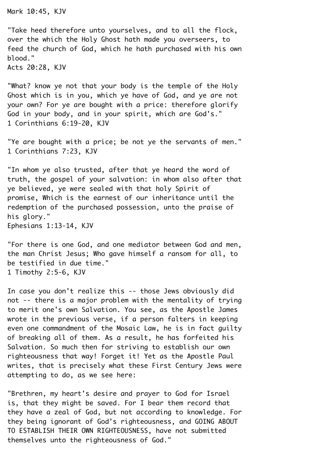Mark 10:45, KJV¬

"Take heed therefore unto yourselves, and to all the flock, over the which the Holy Ghost hath made you overseers, to feed the church of God, which he hath purchased with his own blood."

Acts 20:28, KJV¬

"What? know ye not that your body is the temple of the Holy¬ Ghost which is in you, which ye have of God, and ye are not your own? For ye are bought with a price: therefore glorify God in your body, and in your spirit, which are God's."¬ 1 Corinthians 6:19-20, KJV¬

"Ye are bought with a price; be not ye the servants of men." 1 Corinthians 7:23, KJV¬

"In whom ye also trusted, after that ye heard the word of truth, the gospel of your salvation: in whom also after that ye believed, ye were sealed with that holy Spirit of promise, Which is the earnest of our inheritance until the redemption of the purchased possession, unto the praise of his glory." Ephesians 1:13-14, KJV¬

"For there is one God, and one mediator between God and men, the man Christ Jesus; Who gave himself a ransom for all, to be testified in due time." 1 Timothy 2:5-6, KJV¬

In case you don't realize this -- those Jews obviously did not -- there is a major problem with the mentality of trying to merit one's own Salvation. You see, as the Apostle James wrote in the previous verse, if a person falters in keeping even one commandment of the Mosaic Law, he is in fact quilty of breaking all of them. As a result, he has forfeited his¬ Salvation. So much then for strivina to establish our own righteousness that way! Forget it! Yet as the Apostle Paul writes, that is precisely what these First Century Jews were attempting to do, as we see here:

"Brethren, my heart's desire and prayer to God for Israel is, that they might be saved. For I bear them record that they have a zeal of God, but not according to knowledge. For they being ignorant of God's righteousness, and GOING ABOUT¬ TO ESTABLISH THEIR OWN RIGHTEOUSNESS, have not submitted themselves unto the righteousness of God."¬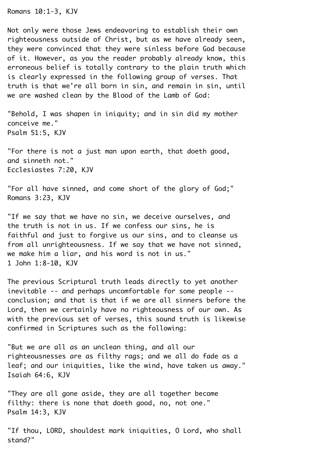Romans 10:1-3, KJV¬

Not only were those Jews endeavoring to establish their own righteousness outside of Christ, but as we have already seen, they were convinced that they were sinless before God because of it. However, as you the reader probably already know, this erroneous belief is totally contrary to the plain truth which is clearly expressed in the following group of verses. That truth is that we're all born in sin, and remain in sin, until we are washed clean by the Blood of the Lamb of God:

"Behold, I was shapen in iniquity; and in sin did my mother conceive me."¬ Psalm 51:5, KJV¬

"For there is not a just man upon earth, that doeth good, and sinneth not."¬ Ecclesiastes 7:20, KJV¬

"For all have sinned, and come short of the glory of God:" Romans 3:23, KJV¬

"If we say that we have no sin, we deceive ourselves, and the truth is not in us. If we confess our sins, he is faithful and just to forgive us our sins, and to cleanse us from all unrighteousness. If we say that we have not sinned, we make him a liar, and his word is not in us." 1 John 1:8-10, KJV¬

The previous Scriptural truth leads directly to yet another inevitable -- and perhaps uncomfortable for some people -conclusion; and that is that if we are all sinners before the¬ Lord, then we certainly have no righteousness of our own. As with the previous set of verses, this sound truth is likewise confirmed in Scriptures such as the following:¬

"But we are all as an unclean thing, and all our righteousnesses are as filthy rags; and we all do fade as a leaf; and our iniquities, like the wind, have taken us away." Isaiah 64:6, KJV¬

"They are all gone aside, they are all together become filthy: there is none that doeth good, no, not one." Psalm 14:3, KJV¬

"If thou, LORD, shouldest mark iniquities, O Lord, who shall stand?"¬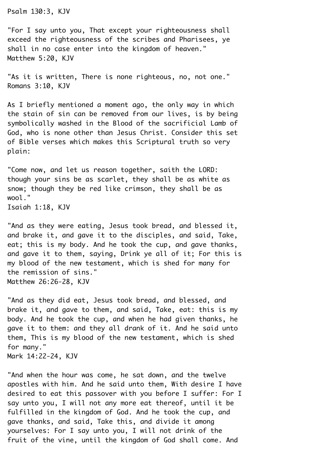Psalm 130:3, KJV¬

"For I say unto you, That except your righteousness shall exceed the righteousness of the scribes and Pharisees, ye shall in no case enter into the kingdom of heaven." Matthew 5:20, KJV

"As it is written, There is none righteous, no, not one." Romans 3:10, KJV¬

As I briefly mentioned a moment ago, the only way in which the stain of sin can be removed from our lives, is by being symbolically washed in the Blood of the sacrificial Lamb of¬ God, who is none other than Jesus Christ. Consider this set of Bible verses which makes this Scriptural truth so very plain:

"Come now, and let us reason together, saith the LORD: though your sins be as scarlet, they shall be as white as snow; though they be red like crimson, they shall be as wool."

Isaiah 1:18, KJV¬

"And as they were eating, Jesus took bread, and blessed it, and brake it, and gave it to the disciples, and said, Take, eat; this is my body. And he took the cup, and gave thanks, and gave it to them, saying, Drink ye all of it; For this is my blood of the new testament, which is shed for many for the remission of sins."¬ Matthew 26:26-28, KJV¬

"And as they did eat, Jesus took bread, and blessed, and brake it, and gave to them, and said, Take, eat: this is my body. And he took the cup, and when he had given thanks, he gave it to them: and they all drank of it. And he said unto them, This is my blood of the new testament, which is shed for many." Mark 14:22-24, KJV¬

"And when the hour was come, he sat down, and the twelve apostles with him. And he said unto them, With desire I have desired to eat this passover with you before I suffer: For I say unto you, I will not any more eat thereof, until it be fulfilled in the kingdom of God. And he took the cup, and gave thanks, and said, Take this, and divide it among yourselves: For I say unto you, I will not drink of the fruit of the vine, until the kingdom of God shall come. And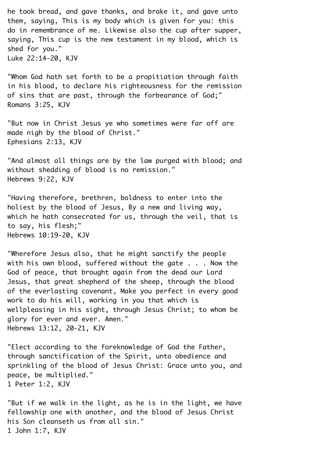he took bread, and gave thanks, and brake it, and gave unto them, saying, This is my body which is given for you: this do in remembrance of me. Likewise also the cup after supper, saying, This cup is the new testament in my blood, which is shed for you." Luke 22:14-20, KJV¬

"Whom God hath set forth to be a propitiation through faith in his blood, to declare his righteousness for the remission of sins that are past, through the forbearance of God;" Romans 3:25, KJV¬

"But now in Christ Jesus ye who sometimes were far off are made nigh by the blood of Christ." Ephesians 2:13, KJV¬

"And almost all things are by the law purged with blood; and without shedding of blood is no remission." Hebrews 9:22, KJV¬

"Having therefore, brethren, boldness to enter into the holiest by the blood of Jesus, By a new and living way, which he hath consecrated for us, through the veil, that is to say, his flesh;"¬ Hebrews 10:19-20, KJV¬

"Wherefore Jesus also, that he might sanctify the people with his own blood, suffered without the gate  $\ldots$ . Now the God of peace, that brought again from the dead our Lord¬ Jesus, that great shepherd of the sheep, through the blood of the everlasting covenant, Make you perfect in every good work to do his will, working in you that which is wellpleasing in his sight, through Jesus Christ; to whom be glory for ever and ever. Amen." Hebrews 13:12, 20-21, KJV¬

"Elect according to the foreknowledge of God the Father. through sanctification of the Spirit, unto obedience and sprinkling of the blood of Jesus Christ: Grace unto you, and peace, be multiplied."¬ 1 Peter 1:2, KJV¬

"But if we walk in the light, as he is in the light, we have fellowship one with another, and the blood of Jesus Christ his Son cleanseth us from all sin." 1 John 1:7, KJV¬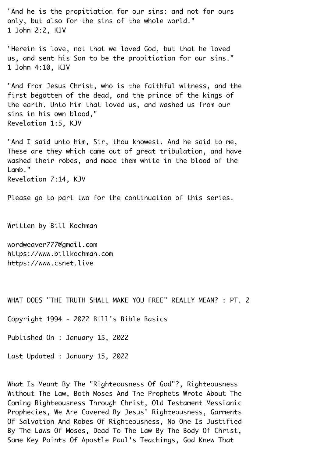"And he is the propitiation for our sins: and not for ours only, but also for the sins of the whole world."¬ 1 John 2:2, KJV¬

"Herein is love, not that we loved God, but that he loved us, and sent his Son to be the propitiation for our sins."¬ 1 John 4:10, KJV¬

"And from Jesus Christ, who is the faithful witness, and the first begotten of the dead, and the prince of the kings of the earth. Unto him that loved us, and washed us from our sins in his own blood," Revelation 1:5, KJV¬

"And I said unto him, Sir, thou knowest. And he said to me, These are they which came out of great tribulation, and have washed their robes, and made them white in the blood of the Lamb." Revelation 7:14, KJV¬

Please go to part two for the continuation of this series.

Written by Bill Kochman¬

wordweaver777@gmail.com https://www.billkochman.com https://www.csnet.live¬

WHAT DOES "THE TRUTH SHALL MAKE YOU FREE" REALLY MEAN? : PT. 2

Copyright 1994 - 2022 Bill's Bible Basics¬

Published On : January 15, 2022¬

Last Updated : January 15, 2022¬

What Is Meant By The "Righteousness Of God"?, Righteousness Without The Law, Both Moses And The Prophets Wrote About The¬ Coming Righteousness Through Christ, Old Testament Messianic¬ Prophecies, We Are Covered By Jesus' Righteousness, Garments¬ Of Salvation And Robes Of Righteousness, No One Is Justified¬ By The Laws Of Moses, Dead To The Law By The Body Of Christ,¬ Some Key Points Of Apostle Paul's Teachings, God Knew That¬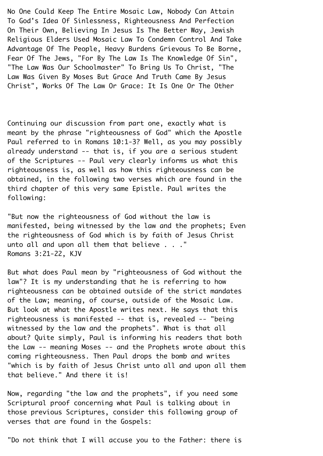No One Could Keep The Entire Mosaic Law, Nobody Can Attain¬ To God's Idea Of Sinlessness, Righteousness And Perfection¬ On Their Own, Believing In Jesus Is The Better Way, Jewish¬ Religious Elders Used Mosaic Law To Condemn Control And Take¬ Advantage Of The People, Heavy Burdens Grievous To Be Borne, Fear Of The Jews, "For By The Law Is The Knowledge Of Sin", "The Law Was Our Schoolmaster" To Bring Us To Christ, "The¬ Law Was Given By Moses But Grace And Truth Came By Jesus¬ Christ", Works Of The Law Or Grace: It Is One Or The Other¬

Continuing our discussion from part one, exactly what is meant by the phrase "righteousness of God" which the Apostle¬ Paul referred to in Romans 10:1-3? Well, as you may possibly already understand -- that is, if you are a serious student of the Scriptures -- Paul very clearly informs us what this righteousness is, as well as how this righteousness can be obtained, in the following two verses which are found in the third chapter of this very same Epistle. Paul writes the following:¬

"But now the righteousness of God without the law is manifested, being witnessed by the law and the prophets; Even the righteousness of God which is by faith of Jesus Christ unto all and upon all them that believe  $\ldots$ ." Romans 3:21-22, KJV¬

But what does Paul mean by "righteousness of God without the law"? It is my understanding that he is referring to how righteousness can be obtained outside of the strict mandates of the Law; meaning, of course, outside of the Mosaic Law. But look at what the Apostle writes next. He says that this righteousness is manifested -- that is, revealed -- "being witnessed by the law and the prophets". What is that all about? Quite simply, Paul is informing his readers that both the Law -- meaning Moses -- and the Prophets wrote about this coming righteousness. Then Paul drops the bomb and writes¬ "which is by faith of Jesus Christ unto all and upon all them that believe." And there it is!¬

Now, regarding "the law and the prophets", if you need some¬ Scriptural proof concerning what Paul is talking about in those previous Scriptures, consider this following group of verses that are found in the Gospels:

"Do not think that I will accuse you to the Father: there is¬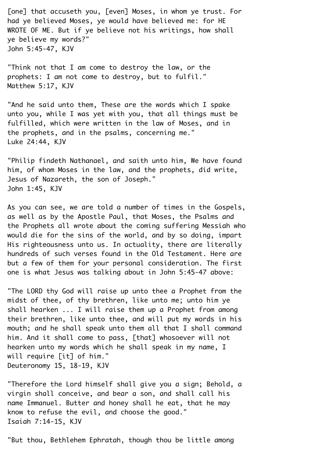[one] that accuseth you, [even] Moses, in whom ye trust. For had ye believed Moses, ye would have believed me: for HE WROTE OF ME. But if ye believe not his writings, how shall ye believe my words?"¬ John 5:45-47, KJV¬

"Think not that I am come to destroy the law, or the prophets: I am not come to destroy, but to fulfil." Matthew 5:17, KJV¬

"And he said unto them, These are the words which I spake unto you, while I was yet with you, that all things must be fulfilled, which were written in the law of Moses, and in the prophets, and in the psalms, concerning me."¬ Luke 24:44, KJV¬

"Philip findeth Nathanael, and saith unto him, We have found him, of whom Moses in the law, and the prophets, did write,¬ Jesus of Nazareth, the son of Joseph." John 1:45, KJV¬

As you can see, we are told a number of times in the Gospels, as well as by the Apostle Paul, that Moses, the Psalms and the Prophets all wrote about the coming suffering Messiah who would die for the sins of the world, and by so doing, impart¬ His righteousness unto us. In actuality, there are literally hundreds of such verses found in the Old Testament. Here are but a few of them for your personal consideration. The first one is what Jesus was talking about in John 5:45-47 above:¬

"The LORD thy God will raise up unto thee a Prophet from the midst of thee, of thy brethren, like unto me; unto him ye shall hearken  $\ldots$  I will raise them up a Prophet from among their brethren, like unto thee, and will put my words in his mouth; and he shall speak unto them all that I shall command him. And it shall come to pass, [that] whosoever will not hearken unto my words which he shall speak in my name. I will require [it] of him." Deuteronomy 15, 18-19, KJV¬

"Therefore the Lord himself shall give you a sign; Behold, a virgin shall conceive, and bear a son, and shall call his name Immanuel. Butter and honey shall he eat, that he may know to refuse the evil, and choose the good." Isaiah 7:14-15, KJV¬

"But thou, Bethlehem Ephratah, though thou be little among¬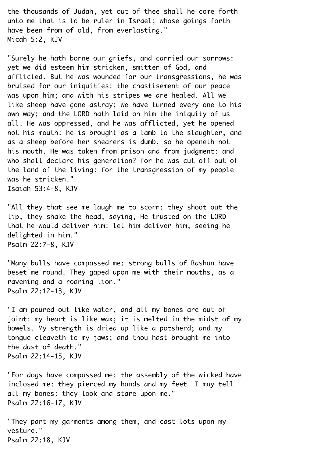the thousands of Judah, yet out of thee shall he come forth unto me that is to be ruler in Israel; whose goings forth have been from of old, from everlasting." Micah 5:2, KJV¬

"Surely he hath borne our griefs, and carried our sorrows: yet we did esteem him stricken, smitten of God, and afflicted. But he was wounded for our transgressions, he was bruised for our iniquities: the chastisement of our peace was upon him; and with his stripes we are healed. All we like sheep have gone astray; we have turned every one to his own way; and the LORD hath laid on him the iniquity of us all. He was oppressed, and he was afflicted, yet he opened not his mouth: he is brought as a lamb to the slaughter, and as a sheep before her shearers is dumb, so he openeth not his mouth. He was taken from prison and from judgment: and who shall declare his generation? for he was cut off out of the land of the living: for the transgression of my people was he stricken." Isaiah 53:4-8, KJV¬

"All they that see me laugh me to scorn: they shoot out the lip, they shake the head, saying, He trusted on the LORD that he would deliver him: let him deliver him, seeing he delighted in him."¬ Psalm 22:7-8, KJV¬

"Many bulls have compassed me: strong bulls of Bashan have beset me round. They qaped upon me with their mouths, as a ravening and a roaring lion." Psalm 22:12-13, KJV¬

"I am poured out like water, and all my bones are out of joint: my heart is like wax; it is melted in the midst of my bowels. My strength is dried up like a potsherd; and my tongue cleaveth to my jaws; and thou hast brought me into the dust of death."¬ Psalm 22:14-15, KJV¬

"For dogs have compassed me: the assembly of the wicked have inclosed me: they pierced my hands and my feet. I may tell all my bones: they look and stare upon me." Psalm 22:16-17, KJV¬

"They part my garments among them, and cast lots upon my vesture."¬ Psalm 22:18, KJV¬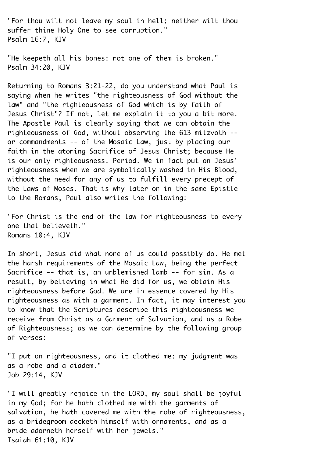"For thou wilt not leave my soul in hell; neither wilt thou suffer thine Holy One to see corruption." Psalm 16:7, KJV¬

"He keepeth all his bones: not one of them is broken." Psalm 34:20, KJV¬

Returning to Romans 3:21-22, do you understand what Paul is saying when he writes "the righteousness of God without the law" and "the righteousness of God which is by faith of¬ Jesus Christ"? If not, let me explain it to you a bit more. The Apostle Paul is clearly saying that we can obtain the righteousness of God, without observing the 613 mitzvoth -or commandments -- of the Mosaic Law, just by placing our faith in the atoning Sacrifice of Jesus Christ; because He is our only righteousness. Period. We in fact put on Jesus' righteousness when we are symbolically washed in His Blood, without the need for any of us to fulfill every precept of the Laws of Moses. That is why later on in the same Epistle to the Romans, Paul also writes the following:¬

"For Christ is the end of the law for righteousness to every one that believeth."¬ Romans 10:4, KJV¬

In short, Jesus did what none of us could possibly do. He met the harsh requirements of the Mosaic Law, being the perfect¬ Sacrifice -- that is, an unblemished lamb -- for sin. As a result, by believing in what He did for us, we obtain His righteousness before God. We are in essence covered by His righteousness as with a garment. In fact, it may interest you to know that the Scriptures describe this righteousness we receive from Christ as a Garment of Salvation, and as a Robe of Righteousness; as we can determine by the following group of verses:¬

"I put on righteousness, and it clothed me: my judgment was as a robe and a diadem." Job 29:14, KJV¬

"I will greatly rejoice in the LORD, my soul shall be joyful in my God; for he hath clothed me with the garments of salvation, he hath covered me with the robe of righteousness, as a bridegroom decketh himself with ornaments, and as a bride adorneth herself with her jewels."¬ Isaiah 61:10, KJV¬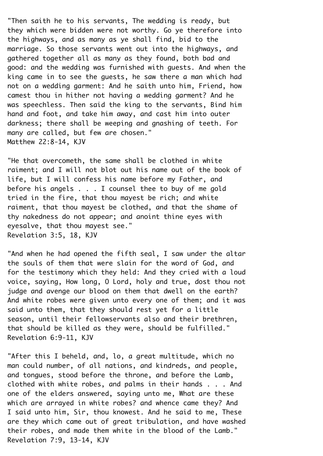"Then saith he to his servants, The wedding is ready, but they which were bidden were not worthy. Go ye therefore into the highways, and as many as ye shall find, bid to the marriage. So those servants went out into the highways, and gathered together all as many as they found, both bad and good: and the wedding was furnished with guests. And when the king came in to see the guests, he saw there a man which had not on a wedding garment: And he saith unto him, Friend, how camest thou in hither not having a wedding garment? And he was speechless. Then said the king to the servants, Bind him hand and foot, and take him away, and cast him into outer darkness; there shall be weeping and gnashing of teeth. For many are called, but few are chosen." Matthew 22:8-14, KJV

"He that overcometh, the same shall be clothed in white raiment; and I will not blot out his name out of the book of life, but I will confess his name before my Father, and before his angels  $\ldots$  . I counsel thee to buy of me gold tried in the fire, that thou mayest be rich; and white raiment, that thou mayest be clothed, and that the shame of thy nakedness do not appear; and anoint thine eyes with eyesalve, that thou mayest see." Revelation 3:5, 18, KJV¬

"And when he had opened the fifth seal, I saw under the altar the souls of them that were slain for the word of God, and for the testimony which they held: And they cried with a loud voice, saying, How long, O Lord, holy and true, dost thou not judge and avenge our blood on them that dwell on the earth? And white robes were given unto every one of them; and it was said unto them, that they should rest yet for a little season, until their fellowservants also and their brethren, that should be killed as they were, should be fulfilled."¬ Revelation 6:9-11, KJV¬

"After this I beheld, and, lo, a great multitude, which no man could number, of all nations, and kindreds, and people, and tongues, stood before the throne, and before the Lamb, clothed with white robes, and palms in their hands . . . And one of the elders answered, saying unto me, What are these which are arrayed in white robes? and whence came they? And I said unto him, Sir, thou knowest. And he said to me, These are they which came out of great tribulation, and have washed their robes, and made them white in the blood of the Lamb."¬ Revelation 7:9, 13-14, KJV¬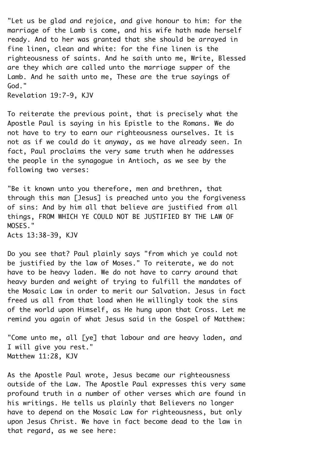"Let us be glad and rejoice, and give honour to him: for the marriage of the Lamb is come, and his wife hath made herself ready. And to her was granted that she should be arrayed in fine linen, clean and white: for the fine linen is the righteousness of saints. And he saith unto me, Write, Blessed are they which are called unto the marriage supper of the Lamb. And he saith unto me, These are the true sayings of God."

Revelation 19:7-9, KJV¬

To reiterate the previous point, that is precisely what the¬ Apostle Paul is saying in his Epistle to the Romans. We do not have to try to earn our righteousness ourselves. It is not as if we could do it anyway, as we have already seen. In fact, Paul proclaims the very same truth when he addresses the people in the synagogue in Antioch, as we see by the following two verses:¬

"Be it known unto you therefore, men and brethren, that through this man [Jesus] is preached unto you the forgiveness of sins: And by him all that believe are justified from all things, FROM WHICH YE COULD NOT BE JUSTIFIED BY THE LAW OF¬ MOSES."¬ Acts 13:38-39, KJV¬

Do you see that? Paul plainly says "from which ye could not be justified by the law of Moses." To reiterate, we do not have to be heavy laden. We do not have to carry around that heavy burden and weight of trying to fulfill the mandates of the Mosaic Law in order to merit our Salvation. Jesus in fact freed us all from that load when He willingly took the sins of the world upon Himself, as He hung upon that Cross. Let me remind you again of what Jesus said in the Gospel of Matthew:

"Come unto me, all [ye] that labour and are heavy laden, and¬ I will give you rest." Matthew 11:28, KJV¬

As the Apostle Paul wrote, Jesus became our righteousness outside of the Law. The Apostle Paul expresses this very same profound truth in a number of other verses which are found in his writings. He tells us plainly that Believers no longer have to depend on the Mosaic Law for righteousness, but only upon Jesus Christ. We have in fact become dead to the law in that regard, as we see here:¬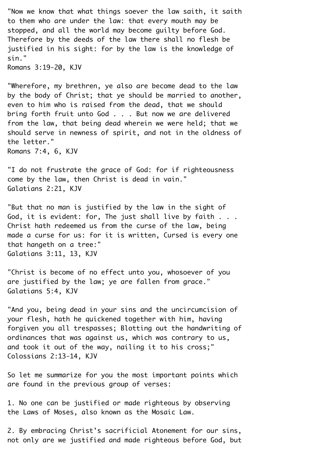"Now we know that what things soever the law saith, it saith to them who are under the law: that every mouth may be stopped, and all the world may become guilty before God. Therefore by the deeds of the law there shall no flesh be justified in his sight: for by the law is the knowledge of sin."

Romans 3:19-20, KJV¬

"Wherefore, my brethren, ye also are become dead to the law by the body of Christ; that ye should be married to another, even to him who is raised from the dead, that we should bring forth fruit unto God . . . But now we are delivered from the law, that being dead wherein we were held; that we should serve in newness of spirit, and not in the oldness of the letter."¬ Romans 7:4, 6, KJV¬

"I do not frustrate the grace of God: for if righteousness come by the law, then Christ is dead in vain." Galatians 2:21, KJV¬

"But that no man is justified by the law in the sight of¬ God, it is evident: for, The just shall live by faith  $\ldots$ . Christ hath redeemed us from the curse of the law, being made a curse for us: for it is written, Cursed is every one that hangeth on a tree:"¬ Galatians 3:11, 13, KJV¬

"Christ is become of no effect unto you, whosoever of you are justified by the law; ye are fallen from grace." Galatians 5:4, KJV¬

"And you, being dead in your sins and the uncircumcision of your flesh, hath he quickened together with him, having forgiven you all trespasses; Blotting out the handwriting of ordinances that was against us, which was contrary to us, and took it out of the way, nailing it to his cross;" Colossians 2:13-14, KJV¬

So let me summarize for you the most important points which are found in the previous group of verses:

1. No one can be justified or made righteous by observing the Laws of Moses, also known as the Mosaic Law.¬

2. By embracing Christ's sacrificial Atonement for our sins, not only are we justified and made righteous before God, but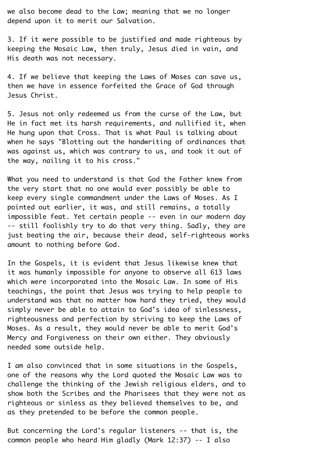we also become dead to the Law; meaning that we no longer depend upon it to merit our Salvation.

3. If it were possible to be justified and made righteous by keeping the Mosaic Law, then truly, Jesus died in vain, and¬ His death was not necessary.

4. If we believe that keeping the Laws of Moses can save us, then we have in essence forfeited the Grace of God through¬ Jesus Christ.¬

5. Jesus not only redeemed us from the curse of the Law, but¬ He in fact met its harsh requirements, and nullified it, when He hung upon that Cross. That is what Paul is talking about when he says "Blotting out the handwriting of ordinances that was against us, which was contrary to us, and took it out of the way, nailing it to his cross."¬

What you need to understand is that God the Father knew from the very start that no one would ever possibly be able to keep every single commandment under the Laws of Moses. As I pointed out earlier, it was, and still remains, a totally impossible feat. Yet certain people -- even in our modern day¬ -- still foolishly try to do that very thing. Sadly, they are just beating the air, because their dead, self-righteous works amount to nothing before God.¬

In the Gospels, it is evident that Jesus likewise knew that it was humanly impossible for anyone to observe all 613 laws which were incorporated into the Mosaic Law. In some of His teachings, the point that Jesus was trying to help people to understand was that no matter how hard they tried, they would simply never be able to attain to God's idea of sinlessness, righteousness and perfection by striving to keep the Laws of¬ Moses. As a result, they would never be able to merit God's¬ Mercy and Forgiveness on their own either. They obviously needed some outside help.¬

I am also convinced that in some situations in the Gospels, one of the reasons why the Lord quoted the Mosaic Law was to challenge the thinking of the Jewish religious elders, and to show both the Scribes and the Pharisees that they were not as righteous or sinless as they believed themselves to be, and as they pretended to be before the common people.

But concerning the Lord's regular listeners -- that is, the common people who heard Him gladly (Mark 12:37) -- I also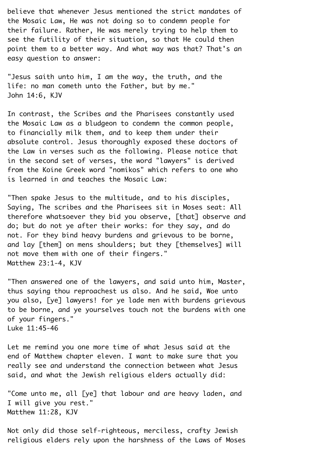believe that whenever Jesus mentioned the strict mandates of the Mosaic Law, He was not doing so to condemn people for their failure. Rather, He was merely trying to help them to see the futility of their situation, so that He could then point them to a better way. And what way was that? That's an easy question to answer:

"Jesus saith unto him, I am the way, the truth, and the life: no man cometh unto the Father, but by me."¬ John 14:6, KJV¬

In contrast, the Scribes and the Pharisees constantly used the Mosaic Law as a bludgeon to condemn the common people, to financially milk them, and to keep them under their absolute control. Jesus thoroughly exposed these doctors of the Law in verses such as the following. Please notice that in the second set of verses, the word "lawyers" is derived from the Koine Greek word "nomikos" which refers to one who is learned in and teaches the Mosaic Law:

"Then spake Jesus to the multitude, and to his disciples,¬ Saying, The scribes and the Pharisees sit in Moses seat: All therefore whatsoever they bid you observe, [that] observe and do; but do not ye after their works: for they say, and do not. For they bind heavy burdens and grievous to be borne, and lay [them] on mens shoulders; but they [themselves] will not move them with one of their fingers." Matthew 23:1-4, KJV

"Then answered one of the lawyers, and said unto him, Master, thus saying thou reproachest us also. And he said, Woe unto you also, [ye] lawyers! for ye lade men with burdens grievous to be borne, and ye yourselves touch not the burdens with one of your fingers."¬ Luke 11:45-46¬

Let me remind you one more time of what Jesus said at the end of Matthew chapter eleven. I want to make sure that you really see and understand the connection between what Jesus said, and what the Jewish religious elders actually did:

"Come unto me, all [ye] that labour and are heavy laden, and¬ I will give you rest."¬ Matthew 11:28, KJV¬

Not only did those self-righteous, merciless, crafty Jewish religious elders rely upon the harshness of the Laws of Moses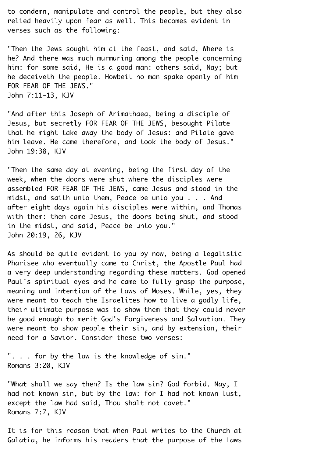to condemn, manipulate and control the people, but they also relied heavily upon fear as well. This becomes evident in verses such as the following:

"Then the Jews sought him at the feast, and said, Where is he? And there was much murmuring among the people concerning him: for some said, He is a good man: others said, Nay; but he deceiveth the people. Howbeit no man spake openly of him¬ FOR FEAR OF THE JEWS." John 7:11-13, KJV¬

"And after this Joseph of Arimathaea, being a disciple of¬ Jesus, but secretly FOR FEAR OF THE JEWS, besought Pilate that he might take away the body of Jesus: and Pilate gave him leave. He came therefore, and took the body of Jesus." John 19:38, KJV¬

"Then the same day at evening, being the first day of the week, when the doors were shut where the disciples were assembled FOR FEAR OF THE JEWS, came Jesus and stood in the midst, and saith unto them, Peace be unto you  $\ldots$  . And after eight days again his disciples were within, and Thomas with them: then came Jesus, the doors being shut, and stood in the midst, and said, Peace be unto you." John 20:19, 26, KJV¬

As should be quite evident to you by now, being a legalistic Pharisee who eventually came to Christ, the Apostle Paul had a very deep understanding regarding these matters. God opened¬ Paul's spiritual eyes and he came to fully grasp the purpose, meaning and intention of the Laws of Moses. While, yes, they were meant to teach the Israelites how to live a godly life, their ultimate purpose was to show them that they could never be good enough to merit God's Forgiveness and Salvation. They were meant to show people their sin, and by extension, their need for a Savior. Consider these two verses:

". . . for by the law is the knowledge of sin." Romans 3:20, KJV¬

"What shall we say then? Is the law sin? God forbid. Nay, I had not known sin, but by the law: for I had not known lust, except the law had said, Thou shalt not covet." Romans 7:7, KJV¬

It is for this reason that when Paul writes to the Church at Galatia, he informs his readers that the purpose of the Laws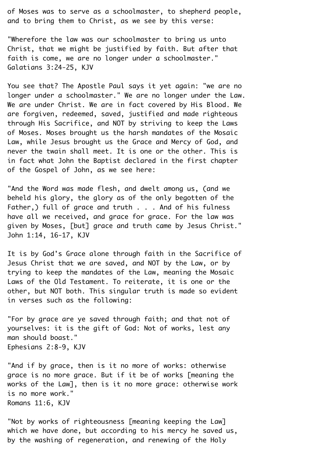of Moses was to serve as a schoolmaster, to shepherd people, and to bring them to Christ, as we see by this verse:

"Wherefore the law was our schoolmaster to bring us unto¬ Christ, that we might be justified by faith. But after that faith is come, we are no longer under a schoolmaster." Galatians 3:24-25, KJV¬

You see that? The Apostle Paul says it yet again: "we are no longer under a schoolmaster." We are no longer under the Law. We are under Christ. We are in fact covered by His Blood. We are forgiven, redeemed, saved, justified and made righteous through His Sacrifice, and NOT by striving to keep the Laws of Moses. Moses brought us the harsh mandates of the Mosaic¬ Law, while Jesus brought us the Grace and Mercy of God, and never the twain shall meet. It is one or the other. This is in fact what John the Baptist declared in the first chapter of the Gospel of John, as we see here:

"And the Word was made flesh, and dwelt among us, (and we beheld his glory, the glory as of the only begotten of the¬ Father, ) full of grace and truth  $\ldots$  . And of his fulness have all we received, and grace for grace. For the law was given by Moses, [but] grace and truth came by Jesus Christ."¬ John 1:14, 16-17, KJV¬

It is by God's Grace alone through faith in the Sacrifice of Jesus Christ that we are saved, and NOT by the Law, or by trying to keep the mandates of the Law, meaning the Mosaic¬ Laws of the Old Testament. To reiterate, it is one or the other, but NOT both. This singular truth is made so evident in verses such as the following:

"For by grace are ye saved through faith; and that not of yourselves: it is the gift of God: Not of works, lest any man should boast."¬ Ephesians 2:8-9, KJV¬

"And if by grace, then is it no more of works: otherwise grace is no more grace. But if it be of works [meaning the works of the Law], then is it no more grace: otherwise work is no more work."¬ Romans 11:6, KJV¬

"Not by works of righteousness [meaning keeping the Law] which we have done, but according to his mercy he saved us, by the washing of regeneration, and renewing of the Holy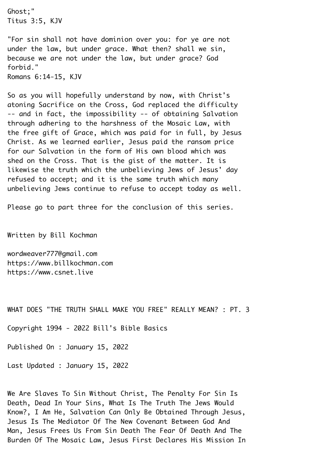Ghost;"¬ Titus 3:5, KJV¬

"For sin shall not have dominion over you: for ye are not under the law, but under grace. What then? shall we sin, because we are not under the law, but under grace? God forbid."¬ Romans 6:14-15, KJV¬

So as you will hopefully understand by now, with Christ's atoning Sacrifice on the Cross, God replaced the difficulty¬ -- and in fact, the impossibility -- of obtaining Salvation through adhering to the harshness of the Mosaic Law, with the free gift of Grace, which was paid for in full, by Jesus¬ Christ. As we learned earlier, Jesus paid the ransom price for our Salvation in the form of His own blood which was shed on the Cross. That is the gist of the matter. It is likewise the truth which the unbelieving Jews of Jesus' day refused to accept; and it is the same truth which many unbelieving Jews continue to refuse to accept today as well.¬

Please go to part three for the conclusion of this series.

Written by Bill Kochman¬

wordweaver777@gmail.com https://www.billkochman.com https://www.csnet.live¬

WHAT DOES "THE TRUTH SHALL MAKE YOU FREE" REALLY MEAN? : PT. 3¬

Copyright 1994 - 2022 Bill's Bible Basics¬

Published On : January 15, 2022¬

Last Updated : January 15, 2022¬

We Are Slaves To Sin Without Christ, The Penalty For Sin Is Death, Dead In Your Sins, What Is The Truth The Jews Would¬ Know?, I Am He, Salvation Can Only Be Obtained Through Jesus,¬ Jesus Is The Mediator Of The New Covenant Between God And¬ Man, Jesus Frees Us From Sin Death The Fear Of Death And The¬ Burden Of The Mosaic Law, Jesus First Declares His Mission In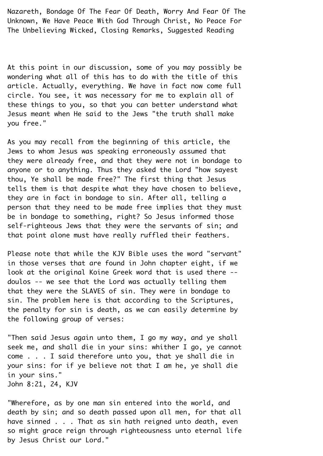Nazareth, Bondage Of The Fear Of Death, Worry And Fear Of The¬ Unknown, We Have Peace With God Through Christ, No Peace For¬ The Unbelieving Wicked, Closing Remarks, Suggested Reading¬

At this point in our discussion, some of you may possibly be wondering what all of this has to do with the title of this article. Actually, everything. We have in fact now come full circle. You see, it was necessary for me to explain all of these things to you, so that you can better understand what¬ Jesus meant when He said to the Jews "the truth shall make you free."

As you may recall from the beginning of this article, the¬ Jews to whom Jesus was speaking erroneously assumed that they were already free, and that they were not in bondage to anyone or to anything. Thus they asked the Lord "how sayest thou, Ye shall be made free?" The first thing that Jesus tells them is that despite what they have chosen to believe, they are in fact in bondage to sin. After all, telling a person that they need to be made free implies that they must be in bondage to something, right? So Jesus informed those self-righteous Jews that they were the servants of sin; and that point alone must have really ruffled their feathers.¬

Please note that while the KJV Bible uses the word "servant" in those verses that are found in John chapter eight, if we look at the original Koine Greek word that is used there -doulos -- we see that the Lord was actually telling them that they were the SLAVES of sin. They were in bondage to sin. The problem here is that according to the Scriptures, the penalty for sin is death, as we can easily determine by the following group of verses:¬

"Then said Jesus again unto them, I go my way, and ye shall seek me, and shall die in your sins: whither I go, ye cannot come . . . I said therefore unto you, that ye shall die in your sins: for if ye believe not that I am he, ye shall die in your sins."¬ John 8:21, 24, KJV¬

"Wherefore, as by one man sin entered into the world, and death by sin; and so death passed upon all men, for that all have sinned  $\ldots$ . That as sin hath reigned unto death, even so might grace reign through righteousness unto eternal life by Jesus Christ our Lord."¬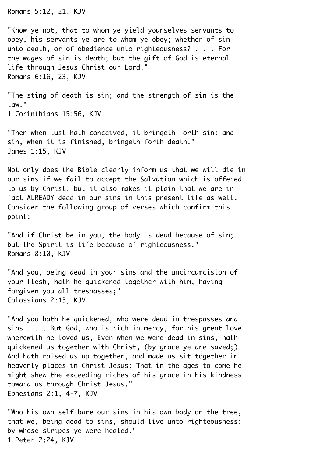Romans 5:12, 21, KJV¬

"Know ye not, that to whom ye yield yourselves servants to obey, his servants ye are to whom ye obey; whether of sin unto death, or of obedience unto righteousness? . . . For the wages of sin is death; but the gift of God is eternal life through Jesus Christ our Lord."¬ Romans 6:16, 23, KJV¬

"The sting of death is sin; and the strength of sin is the law." 1 Corinthians 15:56, KJV¬

"Then when lust hath conceived, it bringeth forth sin: and sin, when it is finished, bringeth forth death." James 1:15, KJV¬

Not only does the Bible clearly inform us that we will die in our sins if we fail to accept the Salvation which is offered to us by Christ, but it also makes it plain that we are in fact ALREADY dead in our sins in this present life as well.¬ Consider the following group of verses which confirm this point:¬

"And if Christ be in you, the body is dead because of sin; but the Spirit is life because of righteousness." Romans 8:10, KJV¬

"And you, being dead in your sins and the uncircumcision of your flesh, hath he quickened together with him, having forgiven you all trespasses;" Colossians 2:13, KJV¬

"And you hath he quickened, who were dead in trespasses and sins . . . But God, who is rich in mercy, for his great love wherewith he loved us, Even when we were dead in sins, hath quickened us together with Christ, (by grace ye are saved;)¬ And hath raised us up together, and made us sit together in heavenly places in Christ Jesus: That in the ages to come he might shew the exceeding riches of his grace in his kindness toward us through Christ Jesus."¬ Ephesians 2:1, 4-7, KJV¬

"Who his own self bare our sins in his own body on the tree, that we, being dead to sins, should live unto righteousness: by whose stripes ye were healed." 1 Peter 2:24, KJV¬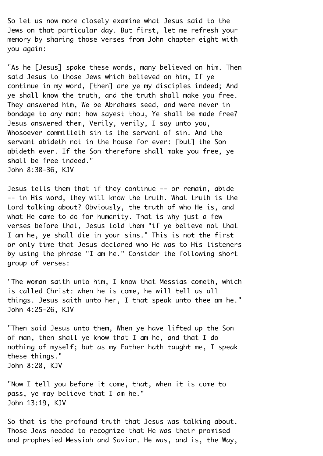So let us now more closely examine what Jesus said to the¬ Jews on that particular day. But first, let me refresh your memory by sharing those verses from John chapter eight with you again:¬

"As he [Jesus] spake these words, many believed on him. Then said Jesus to those Jews which believed on him, If ye continue in my word, [then] are ye my disciples indeed; And ye shall know the truth, and the truth shall make you free. They answered him, We be Abrahams seed, and were never in bondage to any man: how sayest thou, Ye shall be made free? Jesus answered them, Verily, verily, I say unto you,¬ Whosoever committeth sin is the servant of sin. And the servant abideth not in the house for ever: [but] the Son abideth ever. If the Son therefore shall make you free, ye shall be free indeed." John 8:30-36, KJV¬

Jesus tells them that if they continue -- or remain, abide¬ -- in His word, they will know the truth. What truth is the¬ Lord talking about? Obviously, the truth of who He is, and what He came to do for humanity. That is why just a few verses before that, Jesus told them "if ye believe not that¬ I am he, ye shall die in your sins." This is not the first or only time that Jesus declared who He was to His listeners by using the phrase "I am he." Consider the following short group of verses:¬

"The woman saith unto him, I know that Messias cometh, which is called Christ: when he is come, he will tell us all things. Jesus saith unto her, I that speak unto thee am he."¬ John 4:25-26, KJV¬

"Then said Jesus unto them, When ye have lifted up the Son of man, then shall ye know that I am he, and that I do nothing of myself; but as my Father hath taught me, I speak these things."¬ John 8:28, KJV¬

"Now I tell you before it come, that, when it is come to pass, ye may believe that I am he." John 13:19, KJV¬

So that is the profound truth that Jesus was talking about. Those Jews needed to recognize that He was their promised and prophesied Messiah and Savior. He was, and is, the Way,¬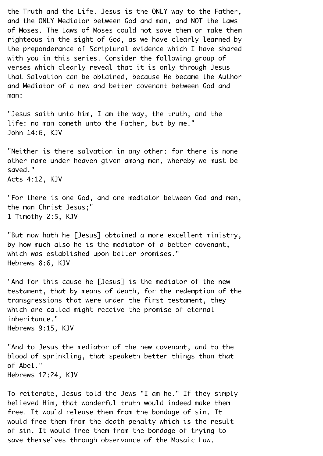the Truth and the Life. Jesus is the ONLY way to the Father, and the ONLY Mediator between God and man, and NOT the Laws of Moses. The Laws of Moses could not save them or make them righteous in the sight of God, as we have clearly learned by the preponderance of Scriptural evidence which I have shared with you in this series. Consider the following group of verses which clearly reveal that it is only through Jesus that Salvation can be obtained, because He became the Author and Mediator of a new and better covenant between God and man:

"Jesus saith unto him, I am the way, the truth, and the life: no man cometh unto the Father, but by me."¬ John 14:6, KJV¬

"Neither is there salvation in any other: for there is none other name under heaven given among men, whereby we must be saved." Acts 4:12, KJV¬

"For there is one God, and one mediator between God and men, the man Christ Jesus;"¬ 1 Timothy 2:5, KJV¬

"But now hath he [Jesus] obtained a more excellent ministry, by how much also he is the mediator of a better covenant, which was established upon better promises." Hebrews 8:6, KJV¬

"And for this cause he [Jesus] is the mediator of the new testament, that by means of death, for the redemption of the transgressions that were under the first testament, they which are called might receive the promise of eternal inheritance."¬ Hebrews 9:15, KJV¬

"And to Jesus the mediator of the new covenant, and to the blood of sprinkling, that speaketh better things than that of Abel."¬ Hebrews 12:24, KJV¬

To reiterate, Jesus told the Jews "I am he." If they simply believed Him, that wonderful truth would indeed make them free. It would release them from the bondage of sin. It would free them from the death penalty which is the result of sin. It would free them from the bondage of trying to save themselves through observance of the Mosaic Law.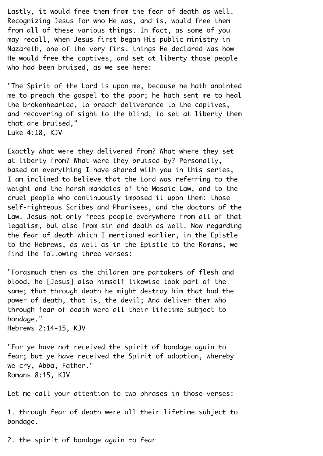Lastly, it would free them from the fear of death as well. Recognizing Jesus for who He was, and is, would free them from all of these various things. In fact, as some of you may recall, when Jesus first began His public ministry in¬ Nazareth, one of the very first things He declared was how¬ He would free the captives, and set at liberty those people who had been bruised, as we see here:

"The Spirit of the Lord is upon me, because he hath anointed me to preach the gospel to the poor; he hath sent me to heal the brokenhearted, to preach deliverance to the captives, and recovering of sight to the blind, to set at liberty them that are bruised,"¬ Luke 4:18, KJV¬

Exactly what were they delivered from? What where they set at liberty from? What were they bruised by? Personally, based on everything I have shared with you in this series,¬ I am inclined to believe that the Lord was referring to the weight and the harsh mandates of the Mosaic Law, and to the cruel people who continuously imposed it upon them: those self-righteous Scribes and Pharisees, and the doctors of the Law. Jesus not only frees people everywhere from all of that legalism, but also from sin and death as well. Now regarding the fear of death which I mentioned earlier, in the Epistle to the Hebrews, as well as in the Epistle to the Romans, we find the following three verses:

"Forasmuch then as the children are partakers of flesh and blood, he [Jesus] also himself likewise took part of the same; that through death he might destroy him that had the power of death, that is, the devil; And deliver them who through fear of death were all their lifetime subject to bondage."

Hebrews 2:14-15, KJV¬

"For ye have not received the spirit of bondage again to fear; but ye have received the Spirit of adoption, whereby we cry, Abba, Father." Romans 8:15, KJV¬

Let me call your attention to two phrases in those verses:

1. through fear of death were all their lifetime subject to bondage.

2. the spirit of bondage again to fear¬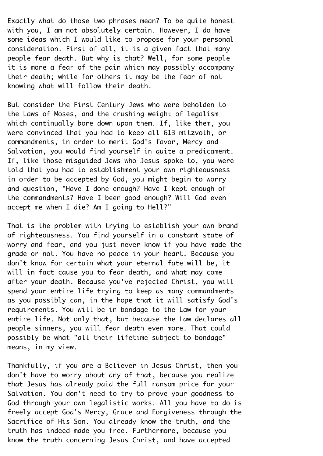Exactly what do those two phrases mean? To be quite honest with you, I am not absolutely certain. However, I do have some ideas which I would like to propose for your personal consideration. First of all, it is a given fact that many people fear death. But why is that? Well, for some people it is more a fear of the pain which may possibly accompany their death; while for others it may be the fear of not knowing what will follow their death.¬

But consider the First Century Jews who were beholden to the Laws of Moses, and the crushing weight of legalism which continually bore down upon them. If, like them, you were convinced that you had to keep all 613 mitzvoth, or commandments, in order to merit God's favor, Mercy and¬ Salvation, you would find yourself in quite a predicament. If, like those misguided Jews who Jesus spoke to, you were told that you had to establishment your own righteousness in order to be accepted by God, you might begin to worry and question, "Have I done enough? Have I kept enough of the commandments? Have I been good enough? Will God even accept me when I die? Am I going to Hell?"¬

That is the problem with trying to establish your own brand of righteousness. You find yourself in a constant state of worry and fear, and you just never know if you have made the grade or not. You have no peace in your heart. Because you don't know for certain what your eternal fate will be, it will in fact cause you to fear death, and what may come after your death. Because you've rejected Christ, you will spend your entire life trying to keep as many commandments as you possibly can, in the hope that it will satisfy God's requirements. You will be in bondage to the Law for your entire life. Not only that, but because the Law declares all people sinners, you will fear death even more. That could possibly be what "all their lifetime subject to bondage" means, in my view.¬

Thankfully, if you are a Believer in Jesus Christ, then you don't have to worry about any of that, because you realize that Jesus has already paid the full ransom price for your¬ Salvation. You don't need to try to prove your goodness to God through your own legalistic works. All you have to do is freely accept God's Mercy, Grace and Forgiveness through the¬ Sacrifice of His Son. You already know the truth, and the truth has indeed made you free. Furthermore, because you know the truth concerning Jesus Christ, and have accepted¬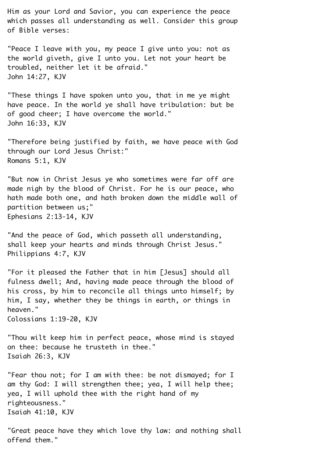Him as your Lord and Savior, you can experience the peace which passes all understanding as well. Consider this group of Bible verses:¬

"Peace I leave with you, my peace I give unto you: not as the world giveth, give I unto you. Let not your heart be troubled, neither let it be afraid."¬ John 14:27, KJV¬

"These things I have spoken unto you, that in me ye might have peace. In the world ye shall have tribulation: but be of good cheer; I have overcome the world." John 16:33, KJV¬

"Therefore being justified by faith, we have peace with God through our Lord Jesus Christ:"¬ Romans 5:1, KJV¬

"But now in Christ Jesus ye who sometimes were far off are made nigh by the blood of Christ. For he is our peace, who hath made both one, and hath broken down the middle wall of partition between us;" Ephesians 2:13-14, KJV¬

"And the peace of God, which passeth all understanding, shall keep your hearts and minds through Christ Jesus."¬ Philippians 4:7, KJV¬

"For it pleased the Father that in him [Jesus] should all fulness dwell; And, having made peace through the blood of his cross, by him to reconcile all things unto himself; by him, I say, whether they be things in earth, or things in heaven." Colossians 1:19-20, KJV¬

"Thou wilt keep him in perfect peace, whose mind is stayed on thee: because he trusteth in thee." Isaiah 26:3, KJV¬

"Fear thou not; for I am with thee: be not dismayed; for I am thy God: I will strengthen thee; yea, I will help thee; yea, I will uphold thee with the right hand of my righteousness."¬ Isaiah 41:10, KJV¬

"Great peace have they which love thy law: and nothing shall offend them."¬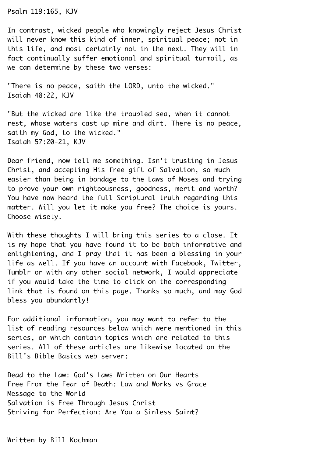Psalm 119:165, KJV¬

In contrast, wicked people who knowingly reject Jesus Christ will never know this kind of inner, spiritual peace; not in this life, and most certainly not in the next. They will in fact continually suffer emotional and spiritual turmoil, as we can determine by these two verses:

"There is no peace, saith the LORD, unto the wicked."¬ Isaiah 48:22, KJV¬

"But the wicked are like the troubled sea, when it cannot rest, whose waters cast up mire and dirt. There is no peace, saith my God, to the wicked." Isaiah 57:20-21, KJV¬

Dear friend, now tell me something. Isn't trusting in Jesus¬ Christ, and accepting His free gift of Salvation, so much easier than being in bondage to the Laws of Moses and trying to prove your own righteousness, goodness, merit and worth?¬ You have now heard the full Scriptural truth regarding this matter. Will you let it make you free? The choice is yours. Choose wisely.

With these thoughts I will bring this series to a close. It is my hope that you have found it to be both informative and enlightening, and I pray that it has been a blessing in your life as well. If you have an account with Facebook, Twitter,¬ Tumblr or with any other social network, I would appreciate if you would take the time to click on the corresponding link that is found on this page. Thanks so much, and may God bless you abundantly!¬

For additional information, you may want to refer to the list of reading resources below which were mentioned in this series, or which contain topics which are related to this series. All of these articles are likewise located on the Bill's Bible Basics web server:¬

Dead to the Law: God's Laws Written on Our Hearts¬ Free From the Fear of Death: Law and Works vs Grace¬ Message to the World¬ Salvation is Free Through Jesus Christ¬ Striving for Perfection: Are You a Sinless Saint?

Written by Bill Kochman¬